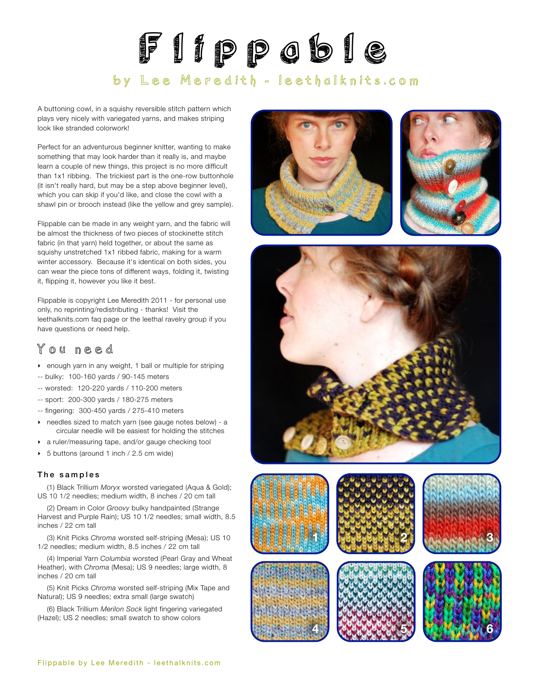# Flippable

## by Lee Meredith - leethalknits.com

A buttoning cowl, in a squishy reversible stitch pattern which plays very nicely with variegated yarns, and makes striping look like stranded colorwork!

Perfect for an adventurous beginner knitter, wanting to make something that may look harder than it really is, and maybe learn a couple of new things, this project is no more difficult than 1x1 ribbing. The trickiest part is the one-row buttonhole (it isn't really hard, but may be a step above beginner level), which you can skip if you'd like, and close the cowl with a shawl pin or brooch instead (like the yellow and grey sample).

Flippable can be made in any weight yarn, and the fabric will be almost the thickness of two pieces of stockinette stitch fabric (in that yarn) held together, or about the same as squishy unstretched 1x1 ribbed fabric, making for a warm winter accessory. Because it's identical on both sides, you can wear the piece tons of different ways, folding it, twisting it, flipping it, however you like it best.

Flippable is copyright Lee Meredith 2011 - for personal use only, no reprinting/redistributing - thanks! Visit the leethalknits.com [faq page](http://www.leethalknits.com/faq.html) or the leethal [ravelry group](http://www.ravelry.com/groups/leethal-knitters) if you have questions or need help.

## You need

- ‣ enough yarn in any weight, 1 ball or multiple for striping
- -- bulky: 100-160 yards / 90-145 meters
- -- worsted: 120-220 yards / 110-200 meters
- -- sport: 200-300 yards / 180-275 meters
- -- fingering: 300-450 yards / 275-410 meters
- ‣ needles sized to match yarn (see gauge notes below) a circular needle will be easiest for holding the stitches
- ‣ a ruler/measuring tape, and/or gauge checking tool
- ▶ 5 buttons (around 1 inch / 2.5 cm wide)

#### The samples

(1) Black Trillium *Moryx* worsted variegated (Aqua & Gold); US 10 1/2 needles; medium width, 8 inches / 20 cm tall

(2) Dream in Color *Groovy* bulky handpainted (Strange Harvest and Purple Rain); US 10 1/2 needles; small width, 8.5 inches / 22 cm tall

(3) Knit Picks *Chroma* worsted self-striping (Mesa); US 10 1/2 needles; medium width, 8.5 inches / 22 cm tall

(4) Imperial Yarn *Columbia* worsted (Pearl Gray and Wheat Heather), with *Chroma* (Mesa); US 9 needles; large width, 8 inches / 20 cm tall

(5) Knit Picks *Chroma* worsted self-striping (Mix Tape and Natural); US 9 needles; extra small (large swatch)

(6) Black Trillium *Merilon Sock* light fingering variegated (Hazel); US 2 needles; small swatch to show colors